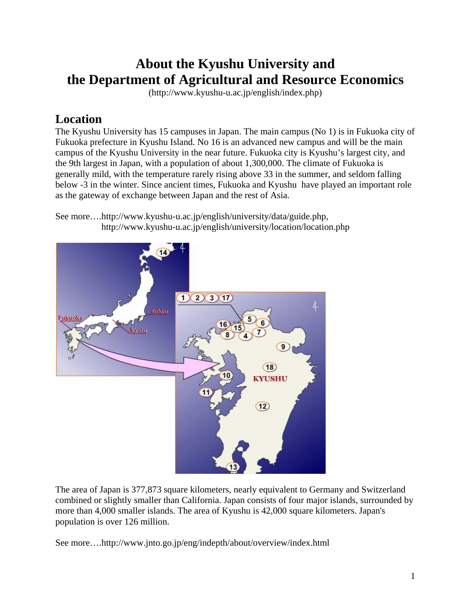# **About the Kyushu University and the Department of Agricultural and Resource Economics**

(http://www.kyushu-u.ac.jp/english/index.php)

### **Location**

The Kyushu University has 15 campuses in Japan. The main campus (No 1) is in Fukuoka city of Fukuoka prefecture in Kyushu Island. No 16 is an advanced new campus and will be the main campus of the Kyushu University in the near future. Fukuoka city is Kyushu's largest city, and the 9th largest in Japan, with a population of about 1,300,000. The climate of Fukuoka is generally mild, with the temperature rarely rising above 33 in the summer, and seldom falling below -3 in the winter. Since ancient times, Fukuoka and Kyushu have played an important role as the gateway of exchange between Japan and the rest of Asia.

See more….http://www.kyushu-u.ac.jp/english/university/data/guide.php, http://www.kyushu-u.ac.jp/english/university/location/location.php



The area of Japan is 377,873 square kilometers, nearly equivalent to Germany and Switzerland combined or slightly smaller than California. Japan consists of four major islands, surrounded by more than 4,000 smaller islands. The area of Kyushu is 42,000 square kilometers. Japan's population is over 126 million.

See more….http://www.jnto.go.jp/eng/indepth/about/overview/index.html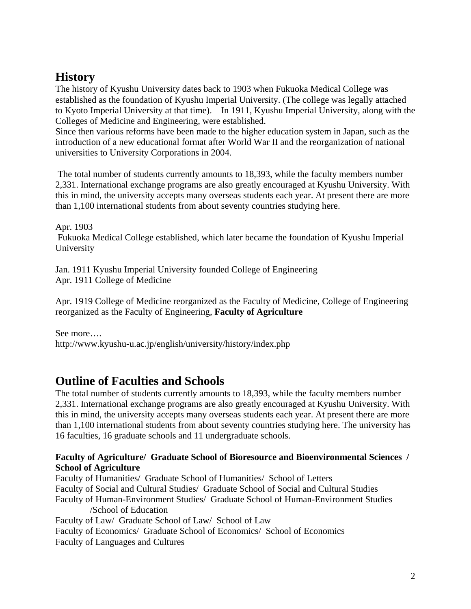### **History**

The history of Kyushu University dates back to 1903 when Fukuoka Medical College was established as the foundation of Kyushu Imperial University. (The college was legally attached to Kyoto Imperial University at that time). In 1911, Kyushu Imperial University, along with the Colleges of Medicine and Engineering, were established.

Since then various reforms have been made to the higher education system in Japan, such as the introduction of a new educational format after World War II and the reorganization of national universities to University Corporations in 2004.

 The total number of students currently amounts to 18,393, while the faculty members number 2,331. International exchange programs are also greatly encouraged at Kyushu University. With this in mind, the university accepts many overseas students each year. At present there are more than 1,100 international students from about seventy countries studying here.

Apr. 1903 Fukuoka Medical College established, which later became the foundation of Kyushu Imperial University

Jan. 1911 Kyushu Imperial University founded College of Engineering Apr. 1911 College of Medicine

Apr. 1919 College of Medicine reorganized as the Faculty of Medicine, College of Engineering reorganized as the Faculty of Engineering, **Faculty of Agriculture** 

See more…. http://www.kyushu-u.ac.jp/english/university/history/index.php

### **Outline of Faculties and Schools**

The total number of students currently amounts to 18,393, while the faculty members number 2,331. International exchange programs are also greatly encouraged at Kyushu University. With this in mind, the university accepts many overseas students each year. At present there are more than 1,100 international students from about seventy countries studying here. The university has 16 faculties, 16 graduate schools and 11 undergraduate schools.

#### **Faculty of Agriculture/ Graduate School of Bioresource and Bioenvironmental Sciences / School of Agriculture**

Faculty of Humanities/ Graduate School of Humanities/ School of Letters Faculty of Social and Cultural Studies/ Graduate School of Social and Cultural Studies Faculty of Human-Environment Studies/ Graduate School of Human-Environment Studies /School of Education Faculty of Law/ Graduate School of Law/ School of Law Faculty of Economics/ Graduate School of Economics/ School of Economics Faculty of Languages and Cultures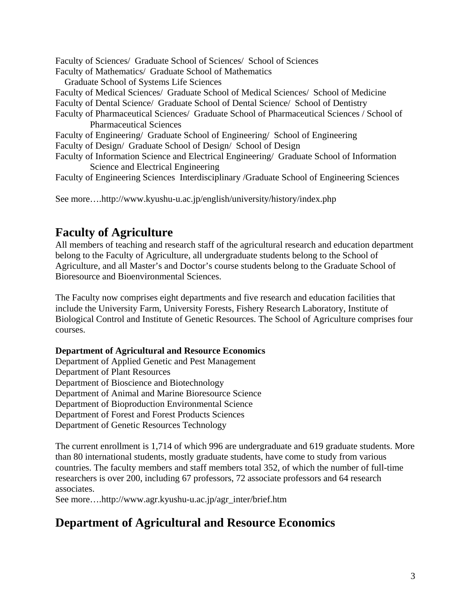Faculty of Sciences/ Graduate School of Sciences/ School of Sciences Faculty of Mathematics/ Graduate School of Mathematics

Graduate School of Systems Life Sciences

Faculty of Medical Sciences/ Graduate School of Medical Sciences/ School of Medicine Faculty of Dental Science/ Graduate School of Dental Science/ School of Dentistry

Faculty of Pharmaceutical Sciences/ Graduate School of Pharmaceutical Sciences / School of Pharmaceutical Sciences

Faculty of Engineering/ Graduate School of Engineering/ School of Engineering Faculty of Design/ Graduate School of Design/ School of Design

Faculty of Information Science and Electrical Engineering/ Graduate School of Information Science and Electrical Engineering

Faculty of Engineering Sciences Interdisciplinary /Graduate School of Engineering Sciences

See more….http://www.kyushu-u.ac.jp/english/university/history/index.php

### **Faculty of Agriculture**

All members of teaching and research staff of the agricultural research and education department belong to the Faculty of Agriculture, all undergraduate students belong to the School of Agriculture, and all Master's and Doctor's course students belong to the Graduate School of Bioresource and Bioenvironmental Sciences.

The Faculty now comprises eight departments and five research and education facilities that include the University Farm, University Forests, Fishery Research Laboratory, Institute of Biological Control and Institute of Genetic Resources. The School of Agriculture comprises four courses.

#### **Department of Agricultural and Resource Economics**

Department of Applied Genetic and Pest Management Department of Plant Resources Department of Bioscience and Biotechnology Department of Animal and Marine Bioresource Science Department of Bioproduction Environmental Science Department of Forest and Forest Products Sciences Department of Genetic Resources Technology

The current enrollment is 1,714 of which 996 are undergraduate and 619 graduate students. More than 80 international students, mostly graduate students, have come to study from various countries. The faculty members and staff members total 352, of which the number of full-time researchers is over 200, including 67 professors, 72 associate professors and 64 research associates.

See more….http://www.agr.kyushu-u.ac.jp/agr\_inter/brief.htm

## **Department of Agricultural and Resource Economics**